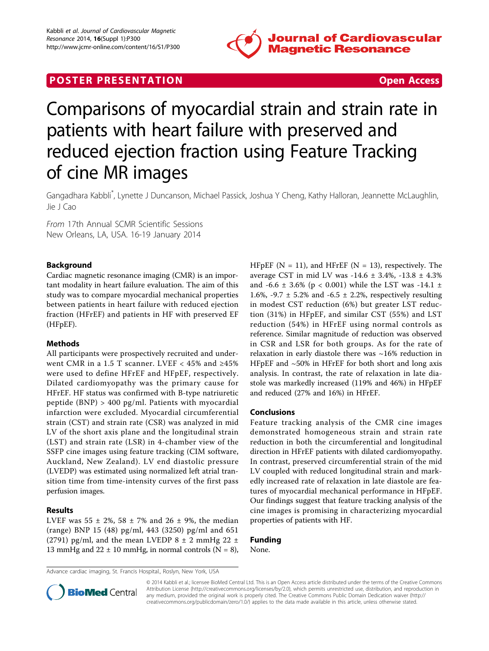

## **POSTER PRESENTATION CONSUMING THE SERVICE SERVICE SERVICES**



# Comparisons of myocardial strain and strain rate in patients with heart failure with preserved and reduced ejection fraction using Feature Tracking of cine MR images

Gangadhara Kabbli\* , Lynette J Duncanson, Michael Passick, Joshua Y Cheng, Kathy Halloran, Jeannette McLaughlin, Jie J Cao

From 17th Annual SCMR Scientific Sessions New Orleans, LA, USA. 16-19 January 2014

#### Background

Cardiac magnetic resonance imaging (CMR) is an important modality in heart failure evaluation. The aim of this study was to compare myocardial mechanical properties between patients in heart failure with reduced ejection fraction (HFrEF) and patients in HF with preserved EF (HFpEF).

#### Methods

All participants were prospectively recruited and underwent CMR in a 1.5 T scanner. LVEF <  $45\%$  and  $\geq 45\%$ were used to define HFrEF and HFpEF, respectively. Dilated cardiomyopathy was the primary cause for HFrEF. HF status was confirmed with B-type natriuretic peptide (BNP) > 400 pg/ml. Patients with myocardial infarction were excluded. Myocardial circumferential strain (CST) and strain rate (CSR) was analyzed in mid LV of the short axis plane and the longitudinal strain (LST) and strain rate (LSR) in 4-chamber view of the SSFP cine images using feature tracking (CIM software, Auckland, New Zealand). LV end diastolic pressure (LVEDP) was estimated using normalized left atrial transition time from time-intensity curves of the first pass perfusion images.

#### Results

LVEF was 55  $\pm$  2%, 58  $\pm$  7% and 26  $\pm$  9%, the median (range) BNP 15 (48) pg/ml, 443 (3250) pg/ml and 651 (2791) pg/ml, and the mean LVEDP  $8 \pm 2$  mmHg 22  $\pm$ 13 mmHg and  $22 \pm 10$  mmHg, in normal controls (N = 8), HFpEF ( $N = 11$ ), and HFrEF ( $N = 13$ ), respectively. The average CST in mid LV was  $-14.6 \pm 3.4\%$ ,  $-13.8 \pm 4.3\%$ and -6.6  $\pm$  3.6% (p < 0.001) while the LST was -14.1  $\pm$ 1.6%, -9.7  $\pm$  5.2% and -6.5  $\pm$  2.2%, respectively resulting in modest CST reduction (6%) but greater LST reduction (31%) in HFpEF, and similar CST (55%) and LST reduction (54%) in HFrEF using normal controls as reference. Similar magnitude of reduction was observed in CSR and LSR for both groups. As for the rate of relaxation in early diastole there was ~16% reduction in HFpEF and ~50% in HFrEF for both short and long axis analysis. In contrast, the rate of relaxation in late diastole was markedly increased (119% and 46%) in HFpEF and reduced (27% and 16%) in HFrEF.

#### Conclusions

Feature tracking analysis of the CMR cine images demonstrated homogeneous strain and strain rate reduction in both the circumferential and longitudinal direction in HFrEF patients with dilated cardiomyopathy. In contrast, preserved circumferential strain of the mid LV coupled with reduced longitudinal strain and markedly increased rate of relaxation in late diastole are features of myocardial mechanical performance in HFpEF. Our findings suggest that feature tracking analysis of the cine images is promising in characterizing myocardial properties of patients with HF.

### Funding

None.

Advance cardiac imaging, St. Francis Hospital., Roslyn, New York, USA



© 2014 Kabbli et al.; licensee BioMed Central Ltd. This is an Open Access article distributed under the terms of the Creative Commons Attribution License [\(http://creativecommons.org/licenses/by/2.0](http://creativecommons.org/licenses/by/2.0)), which permits unrestricted use, distribution, and reproduction in any medium, provided the original work is properly cited. The Creative Commons Public Domain Dedication waiver [\(http://](http://creativecommons.org/publicdomain/zero/1.0/) [creativecommons.org/publicdomain/zero/1.0/](http://creativecommons.org/publicdomain/zero/1.0/)) applies to the data made available in this article, unless otherwise stated.